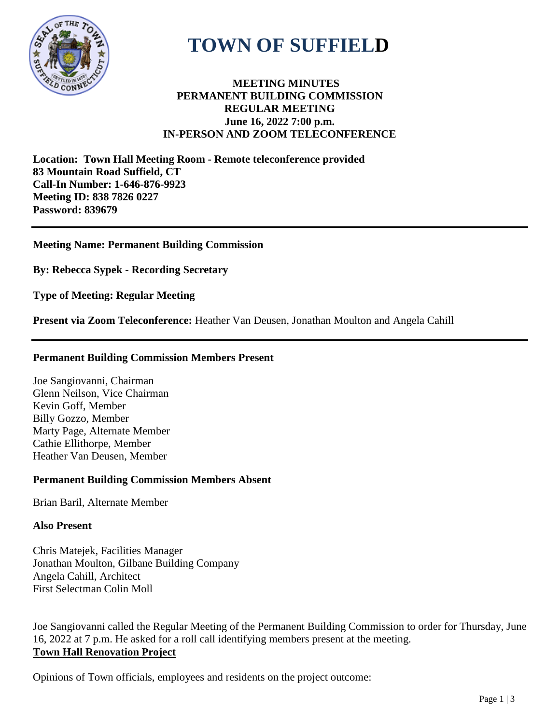

# **TOWN OF SUFFIELD**

# **MEETING MINUTES PERMANENT BUILDING COMMISSION REGULAR MEETING June 16, 2022 7:00 p.m. IN-PERSON AND ZOOM TELECONFERENCE**

**Location: Town Hall Meeting Room - Remote teleconference provided 83 Mountain Road Suffield, CT Call-In Number: 1-646-876-9923 Meeting ID: 838 7826 0227 Password: 839679**

## **Meeting Name: Permanent Building Commission**

**By: Rebecca Sypek - Recording Secretary**

**Type of Meeting: Regular Meeting**

**Present via Zoom Teleconference:** Heather Van Deusen, Jonathan Moulton and Angela Cahill

#### **Permanent Building Commission Members Present**

Joe Sangiovanni, Chairman Glenn Neilson, Vice Chairman Kevin Goff, Member Billy Gozzo, Member Marty Page, Alternate Member Cathie Ellithorpe, Member Heather Van Deusen, Member

#### **Permanent Building Commission Members Absent**

Brian Baril, Alternate Member

#### **Also Present**

Chris Matejek, Facilities Manager Jonathan Moulton, Gilbane Building Company Angela Cahill, Architect First Selectman Colin Moll

Joe Sangiovanni called the Regular Meeting of the Permanent Building Commission to order for Thursday, June 16, 2022 at 7 p.m. He asked for a roll call identifying members present at the meeting. **Town Hall Renovation Project**

Opinions of Town officials, employees and residents on the project outcome: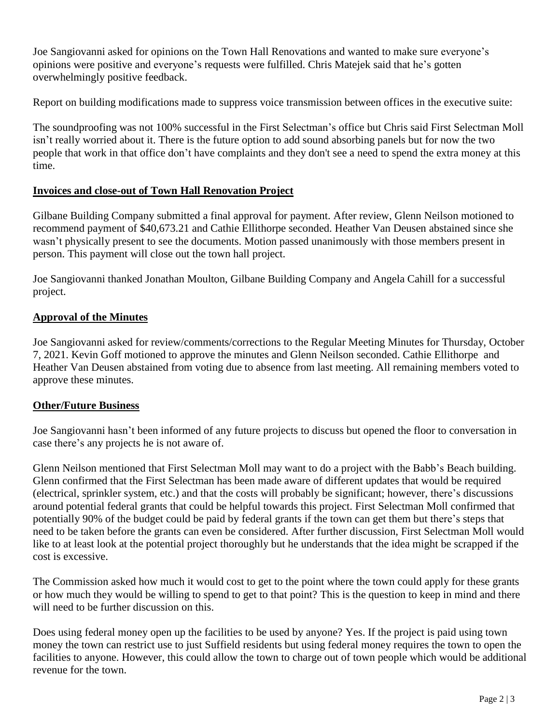Joe Sangiovanni asked for opinions on the Town Hall Renovations and wanted to make sure everyone's opinions were positive and everyone's requests were fulfilled. Chris Matejek said that he's gotten overwhelmingly positive feedback.

Report on building modifications made to suppress voice transmission between offices in the executive suite:

The soundproofing was not 100% successful in the First Selectman's office but Chris said First Selectman Moll isn't really worried about it. There is the future option to add sound absorbing panels but for now the two people that work in that office don't have complaints and they don't see a need to spend the extra money at this time.

# **Invoices and close-out of Town Hall Renovation Project**

Gilbane Building Company submitted a final approval for payment. After review, Glenn Neilson motioned to recommend payment of \$40,673.21 and Cathie Ellithorpe seconded. Heather Van Deusen abstained since she wasn't physically present to see the documents. Motion passed unanimously with those members present in person. This payment will close out the town hall project.

Joe Sangiovanni thanked Jonathan Moulton, Gilbane Building Company and Angela Cahill for a successful project.

## **Approval of the Minutes**

Joe Sangiovanni asked for review/comments/corrections to the Regular Meeting Minutes for Thursday, October 7, 2021. Kevin Goff motioned to approve the minutes and Glenn Neilson seconded. Cathie Ellithorpe and Heather Van Deusen abstained from voting due to absence from last meeting. All remaining members voted to approve these minutes.

#### **Other/Future Business**

Joe Sangiovanni hasn't been informed of any future projects to discuss but opened the floor to conversation in case there's any projects he is not aware of.

Glenn Neilson mentioned that First Selectman Moll may want to do a project with the Babb's Beach building. Glenn confirmed that the First Selectman has been made aware of different updates that would be required (electrical, sprinkler system, etc.) and that the costs will probably be significant; however, there's discussions around potential federal grants that could be helpful towards this project. First Selectman Moll confirmed that potentially 90% of the budget could be paid by federal grants if the town can get them but there's steps that need to be taken before the grants can even be considered. After further discussion, First Selectman Moll would like to at least look at the potential project thoroughly but he understands that the idea might be scrapped if the cost is excessive.

The Commission asked how much it would cost to get to the point where the town could apply for these grants or how much they would be willing to spend to get to that point? This is the question to keep in mind and there will need to be further discussion on this.

Does using federal money open up the facilities to be used by anyone? Yes. If the project is paid using town money the town can restrict use to just Suffield residents but using federal money requires the town to open the facilities to anyone. However, this could allow the town to charge out of town people which would be additional revenue for the town.